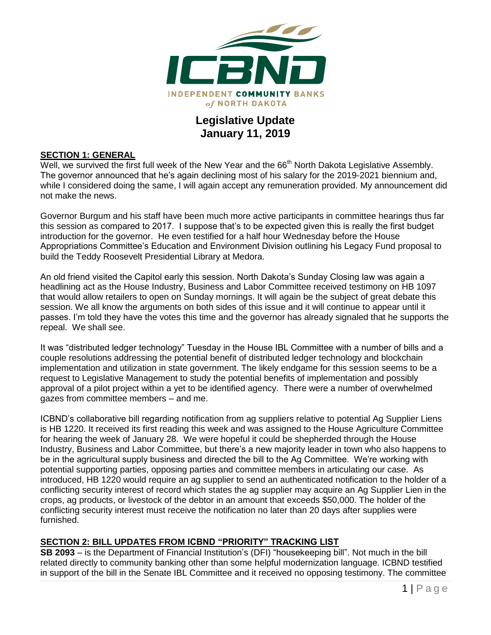

## **Legislative Update January 11, 2019**

#### **SECTION 1: GENERAL**

Well, we survived the first full week of the New Year and the 66<sup>th</sup> North Dakota Legislative Assembly. The governor announced that he's again declining most of his salary for the 2019-2021 biennium and, while I considered doing the same, I will again accept any remuneration provided. My announcement did not make the news.

Governor Burgum and his staff have been much more active participants in committee hearings thus far this session as compared to 2017. I suppose that's to be expected given this is really the first budget introduction for the governor. He even testified for a half hour Wednesday before the House Appropriations Committee's Education and Environment Division outlining his Legacy Fund proposal to build the Teddy Roosevelt Presidential Library at Medora.

An old friend visited the Capitol early this session. North Dakota's Sunday Closing law was again a headlining act as the House Industry, Business and Labor Committee received testimony on HB 1097 that would allow retailers to open on Sunday mornings. It will again be the subject of great debate this session. We all know the arguments on both sides of this issue and it will continue to appear until it passes. I'm told they have the votes this time and the governor has already signaled that he supports the repeal. We shall see.

It was "distributed ledger technology" Tuesday in the House IBL Committee with a number of bills and a couple resolutions addressing the potential benefit of distributed ledger technology and blockchain implementation and utilization in state government. The likely endgame for this session seems to be a request to Legislative Management to study the potential benefits of implementation and possibly approval of a pilot project within a yet to be identified agency. There were a number of overwhelmed gazes from committee members – and me.

ICBND's collaborative bill regarding notification from ag suppliers relative to potential Ag Supplier Liens is HB 1220. It received its first reading this week and was assigned to the House Agriculture Committee for hearing the week of January 28. We were hopeful it could be shepherded through the House Industry, Business and Labor Committee, but there's a new majority leader in town who also happens to be in the agricultural supply business and directed the bill to the Ag Committee. We're working with potential supporting parties, opposing parties and committee members in articulating our case. As introduced, HB 1220 would require an ag supplier to send an authenticated notification to the holder of a conflicting security interest of record which states the ag supplier may acquire an Ag Supplier Lien in the crops, ag products, or livestock of the debtor in an amount that exceeds \$50,000. The holder of the conflicting security interest must receive the notification no later than 20 days after supplies were furnished.

#### **SECTION 2: BILL UPDATES FROM ICBND "PRIORITY" TRACKING LIST**

**SB 2093** – is the Department of Financial Institution's (DFI) "housekeeping bill". Not much in the bill related directly to community banking other than some helpful modernization language. ICBND testified in support of the bill in the Senate IBL Committee and it received no opposing testimony. The committee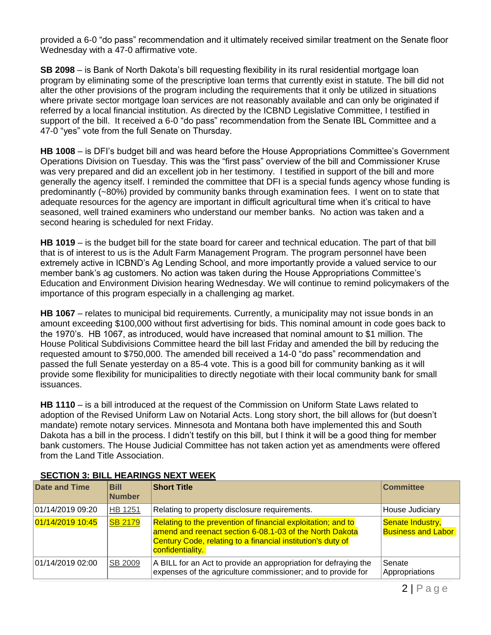provided a 6-0 "do pass" recommendation and it ultimately received similar treatment on the Senate floor Wednesday with a 47-0 affirmative vote.

**SB 2098** – is Bank of North Dakota's bill requesting flexibility in its rural residential mortgage loan program by eliminating some of the prescriptive loan terms that currently exist in statute. The bill did not alter the other provisions of the program including the requirements that it only be utilized in situations where private sector mortgage loan services are not reasonably available and can only be originated if referred by a local financial institution. As directed by the ICBND Legislative Committee, I testified in support of the bill. It received a 6-0 "do pass" recommendation from the Senate IBL Committee and a 47-0 "yes" vote from the full Senate on Thursday.

**HB 1008** – is DFI's budget bill and was heard before the House Appropriations Committee's Government Operations Division on Tuesday. This was the "first pass" overview of the bill and Commissioner Kruse was very prepared and did an excellent job in her testimony. I testified in support of the bill and more generally the agency itself. I reminded the committee that DFI is a special funds agency whose funding is predominantly (~80%) provided by community banks through examination fees. I went on to state that adequate resources for the agency are important in difficult agricultural time when it's critical to have seasoned, well trained examiners who understand our member banks. No action was taken and a second hearing is scheduled for next Friday.

**HB 1019** – is the budget bill for the state board for career and technical education. The part of that bill that is of interest to us is the Adult Farm Management Program. The program personnel have been extremely active in ICBND's Ag Lending School, and more importantly provide a valued service to our member bank's ag customers. No action was taken during the House Appropriations Committee's Education and Environment Division hearing Wednesday. We will continue to remind policymakers of the importance of this program especially in a challenging ag market.

**HB 1067** – relates to municipal bid requirements. Currently, a municipality may not issue bonds in an amount exceeding \$100,000 without first advertising for bids. This nominal amount in code goes back to the 1970's. HB 1067, as introduced, would have increased that nominal amount to \$1 million. The House Political Subdivisions Committee heard the bill last Friday and amended the bill by reducing the requested amount to \$750,000. The amended bill received a 14-0 "do pass" recommendation and passed the full Senate yesterday on a 85-4 vote. This is a good bill for community banking as it will provide some flexibility for municipalities to directly negotiate with their local community bank for small issuances.

**HB 1110** – is a bill introduced at the request of the Commission on Uniform State Laws related to adoption of the Revised Uniform Law on Notarial Acts. Long story short, the bill allows for (but doesn't mandate) remote notary services. Minnesota and Montana both have implemented this and South Dakota has a bill in the process. I didn't testify on this bill, but I think it will be a good thing for member bank customers. The House Judicial Committee has not taken action yet as amendments were offered from the Land Title Association.

| Date and Time    | <b>Bill</b><br><b>Number</b> | <b>Short Title</b>                                                                                                                                                                                         | <b>Committee</b>                              |
|------------------|------------------------------|------------------------------------------------------------------------------------------------------------------------------------------------------------------------------------------------------------|-----------------------------------------------|
| 01/14/2019 09:20 | HB 1251                      | Relating to property disclosure requirements.                                                                                                                                                              | House Judiciary                               |
| 01/14/2019 10:45 | <b>SB 2179</b>               | Relating to the prevention of financial exploitation; and to<br>amend and reenact section 6-08.1-03 of the North Dakota<br>Century Code, relating to a financial institution's duty of<br>confidentiality. | Senate Industry,<br><b>Business and Labor</b> |
| 01/14/2019 02:00 | <b>SB 2009</b>               | A BILL for an Act to provide an appropriation for defraying the<br>expenses of the agriculture commissioner; and to provide for                                                                            | Senate<br>Appropriations                      |

### **SECTION 3: BILL HEARINGS NEXT WEEK**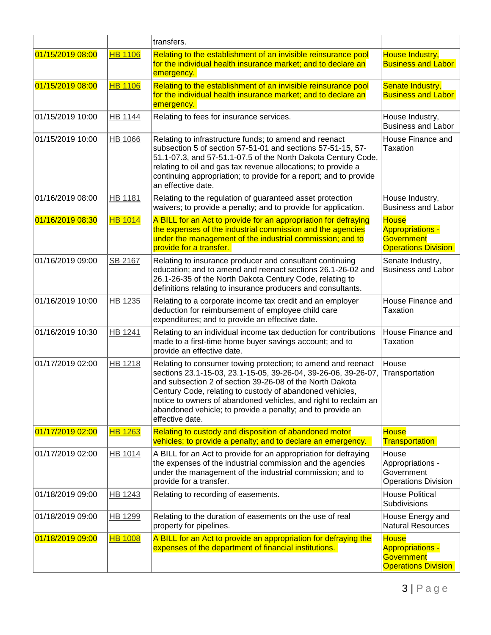|                  |                | transfers.                                                                                                                                                                                                                                                                                                                                                                                                 |                                                                                            |
|------------------|----------------|------------------------------------------------------------------------------------------------------------------------------------------------------------------------------------------------------------------------------------------------------------------------------------------------------------------------------------------------------------------------------------------------------------|--------------------------------------------------------------------------------------------|
| 01/15/2019 08:00 | <b>HB 1106</b> | Relating to the establishment of an invisible reinsurance pool<br>for the individual health insurance market; and to declare an<br>emergency.                                                                                                                                                                                                                                                              | House Industry,<br><b>Business and Labor</b>                                               |
| 01/15/2019 08:00 | <b>HB 1106</b> | Relating to the establishment of an invisible reinsurance pool<br>for the individual health insurance market; and to declare an<br>emergency.                                                                                                                                                                                                                                                              | Senate Industry,<br><b>Business and Labor</b>                                              |
| 01/15/2019 10:00 | <b>HB 1144</b> | Relating to fees for insurance services.                                                                                                                                                                                                                                                                                                                                                                   | House Industry,<br><b>Business and Labor</b>                                               |
| 01/15/2019 10:00 | HB 1066        | Relating to infrastructure funds; to amend and reenact<br>subsection 5 of section 57-51-01 and sections 57-51-15, 57-<br>51.1-07.3, and 57-51.1-07.5 of the North Dakota Century Code,<br>relating to oil and gas tax revenue allocations; to provide a<br>continuing appropriation; to provide for a report; and to provide<br>an effective date.                                                         | House Finance and<br><b>Taxation</b>                                                       |
| 01/16/2019 08:00 | <b>HB 1181</b> | Relating to the regulation of guaranteed asset protection<br>waivers; to provide a penalty; and to provide for application.                                                                                                                                                                                                                                                                                | House Industry,<br><b>Business and Labor</b>                                               |
| 01/16/2019 08:30 | <b>HB 1014</b> | A BILL for an Act to provide for an appropriation for defraying<br>the expenses of the industrial commission and the agencies<br>under the management of the industrial commission; and to<br>provide for a transfer.                                                                                                                                                                                      | <b>House</b><br><b>Appropriations -</b><br>Government<br><b>Operations Division</b>        |
| 01/16/2019 09:00 | SB 2167        | Relating to insurance producer and consultant continuing<br>education; and to amend and reenact sections 26.1-26-02 and<br>26.1-26-35 of the North Dakota Century Code, relating to<br>definitions relating to insurance producers and consultants.                                                                                                                                                        | Senate Industry,<br><b>Business and Labor</b>                                              |
| 01/16/2019 10:00 | HB 1235        | Relating to a corporate income tax credit and an employer<br>deduction for reimbursement of employee child care<br>expenditures; and to provide an effective date.                                                                                                                                                                                                                                         | House Finance and<br>Taxation                                                              |
| 01/16/2019 10:30 | HB 1241        | Relating to an individual income tax deduction for contributions<br>made to a first-time home buyer savings account; and to<br>provide an effective date.                                                                                                                                                                                                                                                  | House Finance and<br><b>Taxation</b>                                                       |
| 01/17/2019 02:00 | <b>HB 1218</b> | Relating to consumer towing protection; to amend and reenact<br>sections 23.1-15-03, 23.1-15-05, 39-26-04, 39-26-06, 39-26-07,<br>and subsection 2 of section 39-26-08 of the North Dakota<br>Century Code, relating to custody of abandoned vehicles,<br>notice to owners of abandoned vehicles, and right to reclaim an<br>abandoned vehicle; to provide a penalty; and to provide an<br>effective date. | House<br>Transportation                                                                    |
| 01/17/2019 02:00 | <b>HB 1263</b> | Relating to custody and disposition of abandoned motor<br>vehicles; to provide a penalty; and to declare an emergency.                                                                                                                                                                                                                                                                                     | <b>House</b><br><b>Transportation</b>                                                      |
| 01/17/2019 02:00 | <b>HB 1014</b> | A BILL for an Act to provide for an appropriation for defraying<br>the expenses of the industrial commission and the agencies<br>under the management of the industrial commission; and to<br>provide for a transfer.                                                                                                                                                                                      | House<br>Appropriations -<br>Government<br><b>Operations Division</b>                      |
| 01/18/2019 09:00 | HB 1243        | Relating to recording of easements.                                                                                                                                                                                                                                                                                                                                                                        | <b>House Political</b><br>Subdivisions                                                     |
| 01/18/2019 09:00 | HB 1299        | Relating to the duration of easements on the use of real<br>property for pipelines.                                                                                                                                                                                                                                                                                                                        | House Energy and<br><b>Natural Resources</b>                                               |
| 01/18/2019 09:00 | <b>HB 1008</b> | A BILL for an Act to provide an appropriation for defraying the<br>expenses of the department of financial institutions.                                                                                                                                                                                                                                                                                   | <b>House</b><br><b>Appropriations -</b><br><b>Government</b><br><b>Operations Division</b> |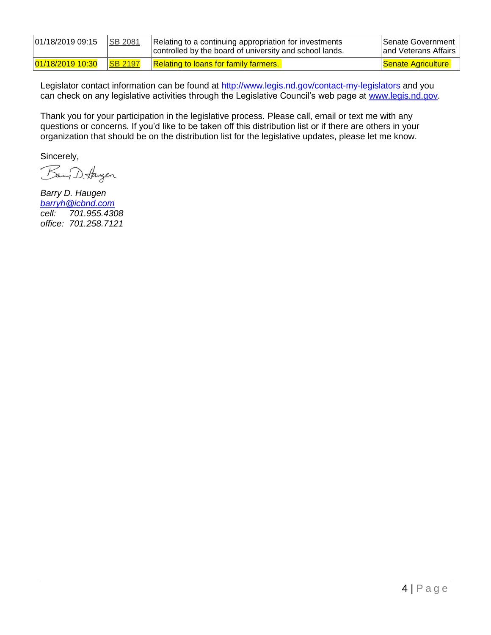| 01/18/2019 09:15 | SB 2081        | Relating to a continuing appropriation for investments<br>controlled by the board of university and school lands. | Senate Government<br>and Veterans Affairs |
|------------------|----------------|-------------------------------------------------------------------------------------------------------------------|-------------------------------------------|
| 01/18/2019 10:30 | <b>SB 2197</b> | <b>Relating to loans for family farmers.</b>                                                                      | Senate Agriculture                        |

Legislator contact information can be found at<http://www.legis.nd.gov/contact-my-legislators> and you can check on any legislative activities through the Legislative Council's web page at [www.legis.nd.gov.](http://www.legis.nd.gov/)

Thank you for your participation in the legislative process. Please call, email or text me with any questions or concerns. If you'd like to be taken off this distribution list or if there are others in your organization that should be on the distribution list for the legislative updates, please let me know.

Sincerely,

Bany D. Haugen

*Barry D. Haugen [barryh@icbnd.com](mailto:barryh@icbnd.com) cell: 701.955.4308 office: 701.258.7121*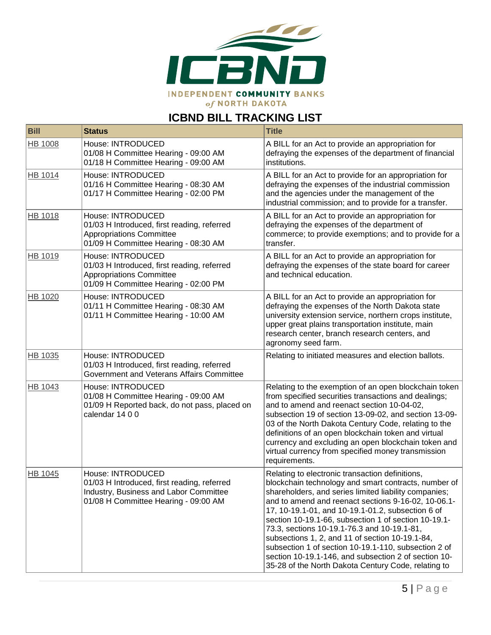

# **ICBND BILL TRACKING LIST**

| <b>Bill</b>    | <b>Status</b>                                                                                                                                      | <b>Title</b>                                                                                                                                                                                                                                                                                                                                                                                                                                                                                                                                                                                                  |
|----------------|----------------------------------------------------------------------------------------------------------------------------------------------------|---------------------------------------------------------------------------------------------------------------------------------------------------------------------------------------------------------------------------------------------------------------------------------------------------------------------------------------------------------------------------------------------------------------------------------------------------------------------------------------------------------------------------------------------------------------------------------------------------------------|
| <b>HB 1008</b> | House: INTRODUCED<br>01/08 H Committee Hearing - 09:00 AM<br>01/18 H Committee Hearing - 09:00 AM                                                  | A BILL for an Act to provide an appropriation for<br>defraying the expenses of the department of financial<br>institutions.                                                                                                                                                                                                                                                                                                                                                                                                                                                                                   |
| <b>HB 1014</b> | House: INTRODUCED<br>01/16 H Committee Hearing - 08:30 AM<br>01/17 H Committee Hearing - 02:00 PM                                                  | A BILL for an Act to provide for an appropriation for<br>defraying the expenses of the industrial commission<br>and the agencies under the management of the<br>industrial commission; and to provide for a transfer.                                                                                                                                                                                                                                                                                                                                                                                         |
| HB 1018        | House: INTRODUCED<br>01/03 H Introduced, first reading, referred<br><b>Appropriations Committee</b><br>01/09 H Committee Hearing - 08:30 AM        | A BILL for an Act to provide an appropriation for<br>defraying the expenses of the department of<br>commerce; to provide exemptions; and to provide for a<br>transfer.                                                                                                                                                                                                                                                                                                                                                                                                                                        |
| HB 1019        | House: INTRODUCED<br>01/03 H Introduced, first reading, referred<br><b>Appropriations Committee</b><br>01/09 H Committee Hearing - 02:00 PM        | A BILL for an Act to provide an appropriation for<br>defraying the expenses of the state board for career<br>and technical education.                                                                                                                                                                                                                                                                                                                                                                                                                                                                         |
| HB 1020        | House: INTRODUCED<br>01/11 H Committee Hearing - 08:30 AM<br>01/11 H Committee Hearing - 10:00 AM                                                  | A BILL for an Act to provide an appropriation for<br>defraying the expenses of the North Dakota state<br>university extension service, northern crops institute,<br>upper great plains transportation institute, main<br>research center, branch research centers, and<br>agronomy seed farm.                                                                                                                                                                                                                                                                                                                 |
| HB 1035        | House: INTRODUCED<br>01/03 H Introduced, first reading, referred<br>Government and Veterans Affairs Committee                                      | Relating to initiated measures and election ballots.                                                                                                                                                                                                                                                                                                                                                                                                                                                                                                                                                          |
| <b>HB 1043</b> | House: INTRODUCED<br>01/08 H Committee Hearing - 09:00 AM<br>01/09 H Reported back, do not pass, placed on<br>calendar 14 0 0                      | Relating to the exemption of an open blockchain token<br>from specified securities transactions and dealings;<br>and to amend and reenact section 10-04-02,<br>subsection 19 of section 13-09-02, and section 13-09-<br>03 of the North Dakota Century Code, relating to the<br>definitions of an open blockchain token and virtual<br>currency and excluding an open blockchain token and<br>virtual currency from specified money transmission<br>requirements.                                                                                                                                             |
| HB 1045        | House: INTRODUCED<br>01/03 H Introduced, first reading, referred<br>Industry, Business and Labor Committee<br>01/08 H Committee Hearing - 09:00 AM | Relating to electronic transaction definitions,<br>blockchain technology and smart contracts, number of<br>shareholders, and series limited liability companies;<br>and to amend and reenact sections 9-16-02, 10-06.1-<br>17, 10-19.1-01, and 10-19.1-01.2, subsection 6 of<br>section 10-19.1-66, subsection 1 of section 10-19.1-<br>73.3, sections 10-19.1-76.3 and 10-19.1-81,<br>subsections 1, 2, and 11 of section 10-19.1-84,<br>subsection 1 of section 10-19.1-110, subsection 2 of<br>section 10-19.1-146, and subsection 2 of section 10-<br>35-28 of the North Dakota Century Code, relating to |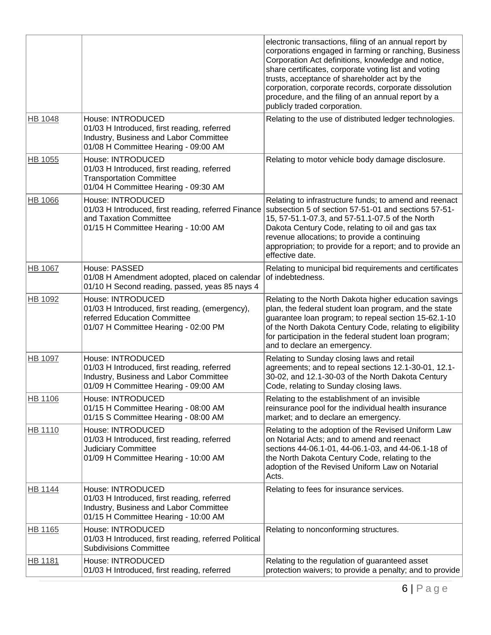|                |                                                                                                                                                    | electronic transactions, filing of an annual report by<br>corporations engaged in farming or ranching, Business<br>Corporation Act definitions, knowledge and notice,<br>share certificates, corporate voting list and voting<br>trusts, acceptance of shareholder act by the<br>corporation, corporate records, corporate dissolution<br>procedure, and the filing of an annual report by a<br>publicly traded corporation. |
|----------------|----------------------------------------------------------------------------------------------------------------------------------------------------|------------------------------------------------------------------------------------------------------------------------------------------------------------------------------------------------------------------------------------------------------------------------------------------------------------------------------------------------------------------------------------------------------------------------------|
| HB 1048        | House: INTRODUCED<br>01/03 H Introduced, first reading, referred<br>Industry, Business and Labor Committee<br>01/08 H Committee Hearing - 09:00 AM | Relating to the use of distributed ledger technologies.                                                                                                                                                                                                                                                                                                                                                                      |
| HB 1055        | House: INTRODUCED<br>01/03 H Introduced, first reading, referred<br><b>Transportation Committee</b><br>01/04 H Committee Hearing - 09:30 AM        | Relating to motor vehicle body damage disclosure.                                                                                                                                                                                                                                                                                                                                                                            |
| <b>HB 1066</b> | House: INTRODUCED<br>01/03 H Introduced, first reading, referred Finance<br>and Taxation Committee<br>01/15 H Committee Hearing - 10:00 AM         | Relating to infrastructure funds; to amend and reenact<br>subsection 5 of section 57-51-01 and sections 57-51-<br>15, 57-51.1-07.3, and 57-51.1-07.5 of the North<br>Dakota Century Code, relating to oil and gas tax<br>revenue allocations; to provide a continuing<br>appropriation; to provide for a report; and to provide an<br>effective date.                                                                        |
| <b>HB 1067</b> | House: PASSED<br>01/08 H Amendment adopted, placed on calendar<br>01/10 H Second reading, passed, yeas 85 nays 4                                   | Relating to municipal bid requirements and certificates<br>of indebtedness.                                                                                                                                                                                                                                                                                                                                                  |
| HB 1092        | House: INTRODUCED<br>01/03 H Introduced, first reading, (emergency),<br>referred Education Committee<br>01/07 H Committee Hearing - 02:00 PM       | Relating to the North Dakota higher education savings<br>plan, the federal student loan program, and the state<br>guarantee loan program; to repeal section 15-62.1-10<br>of the North Dakota Century Code, relating to eligibility<br>for participation in the federal student loan program;<br>and to declare an emergency.                                                                                                |
| HB 1097        | House: INTRODUCED<br>01/03 H Introduced, first reading, referred<br>Industry, Business and Labor Committee<br>01/09 H Committee Hearing - 09:00 AM | Relating to Sunday closing laws and retail<br>agreements; and to repeal sections 12.1-30-01, 12.1-<br>30-02, and 12.1-30-03 of the North Dakota Century<br>Code, relating to Sunday closing laws.                                                                                                                                                                                                                            |
| <b>HB 1106</b> | House: INTRODUCED<br>01/15 H Committee Hearing - 08:00 AM<br>01/15 S Committee Hearing - 08:00 AM                                                  | Relating to the establishment of an invisible<br>reinsurance pool for the individual health insurance<br>market; and to declare an emergency.                                                                                                                                                                                                                                                                                |
| <b>HB 1110</b> | House: INTRODUCED<br>01/03 H Introduced, first reading, referred<br><b>Judiciary Committee</b><br>01/09 H Committee Hearing - 10:00 AM             | Relating to the adoption of the Revised Uniform Law<br>on Notarial Acts; and to amend and reenact<br>sections 44-06.1-01, 44-06.1-03, and 44-06.1-18 of<br>the North Dakota Century Code, relating to the<br>adoption of the Revised Uniform Law on Notarial<br>Acts.                                                                                                                                                        |
| HB 1144        | House: INTRODUCED<br>01/03 H Introduced, first reading, referred<br>Industry, Business and Labor Committee<br>01/15 H Committee Hearing - 10:00 AM | Relating to fees for insurance services.                                                                                                                                                                                                                                                                                                                                                                                     |
| HB 1165        | House: INTRODUCED<br>01/03 H Introduced, first reading, referred Political<br><b>Subdivisions Committee</b>                                        | Relating to nonconforming structures.                                                                                                                                                                                                                                                                                                                                                                                        |
| HB 1181        | House: INTRODUCED<br>01/03 H Introduced, first reading, referred                                                                                   | Relating to the regulation of guaranteed asset<br>protection waivers; to provide a penalty; and to provide                                                                                                                                                                                                                                                                                                                   |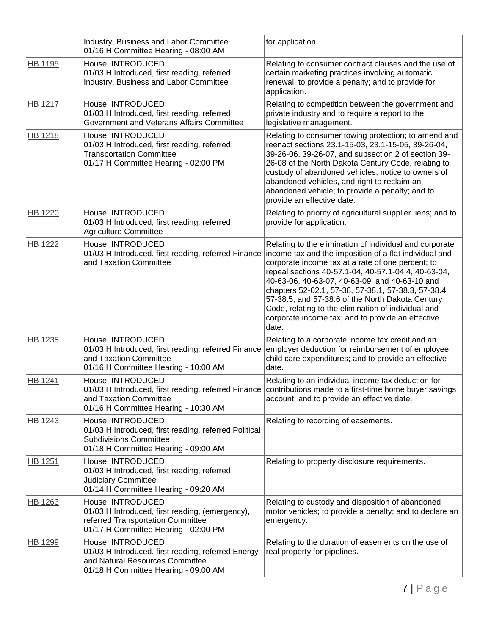|                | Industry, Business and Labor Committee<br>01/16 H Committee Hearing - 08:00 AM                                                                      | for application.                                                                                                                                                                                                                                                                                                                                                                                                                                                                                                |
|----------------|-----------------------------------------------------------------------------------------------------------------------------------------------------|-----------------------------------------------------------------------------------------------------------------------------------------------------------------------------------------------------------------------------------------------------------------------------------------------------------------------------------------------------------------------------------------------------------------------------------------------------------------------------------------------------------------|
| HB 1195        | House: INTRODUCED<br>01/03 H Introduced, first reading, referred<br>Industry, Business and Labor Committee                                          | Relating to consumer contract clauses and the use of<br>certain marketing practices involving automatic<br>renewal; to provide a penalty; and to provide for<br>application.                                                                                                                                                                                                                                                                                                                                    |
| <b>HB 1217</b> | House: INTRODUCED<br>01/03 H Introduced, first reading, referred<br>Government and Veterans Affairs Committee                                       | Relating to competition between the government and<br>private industry and to require a report to the<br>legislative management.                                                                                                                                                                                                                                                                                                                                                                                |
| <b>HB 1218</b> | House: INTRODUCED<br>01/03 H Introduced, first reading, referred<br><b>Transportation Committee</b><br>01/17 H Committee Hearing - 02:00 PM         | Relating to consumer towing protection; to amend and<br>reenact sections 23.1-15-03, 23.1-15-05, 39-26-04,<br>39-26-06, 39-26-07, and subsection 2 of section 39-<br>26-08 of the North Dakota Century Code, relating to<br>custody of abandoned vehicles, notice to owners of<br>abandoned vehicles, and right to reclaim an<br>abandoned vehicle; to provide a penalty; and to<br>provide an effective date.                                                                                                  |
| <b>HB 1220</b> | House: INTRODUCED<br>01/03 H Introduced, first reading, referred<br><b>Agriculture Committee</b>                                                    | Relating to priority of agricultural supplier liens; and to<br>provide for application.                                                                                                                                                                                                                                                                                                                                                                                                                         |
| <b>HB 1222</b> | House: INTRODUCED<br>01/03 H Introduced, first reading, referred Finance<br>and Taxation Committee                                                  | Relating to the elimination of individual and corporate<br>income tax and the imposition of a flat individual and<br>corporate income tax at a rate of one percent; to<br>repeal sections 40-57.1-04, 40-57.1-04.4, 40-63-04,<br>40-63-06, 40-63-07, 40-63-09, and 40-63-10 and<br>chapters 52-02.1, 57-38, 57-38.1, 57-38.3, 57-38.4,<br>57-38.5, and 57-38.6 of the North Dakota Century<br>Code, relating to the elimination of individual and<br>corporate income tax; and to provide an effective<br>date. |
| HB 1235        | House: INTRODUCED<br>01/03 H Introduced, first reading, referred Finance<br>and Taxation Committee<br>01/16 H Committee Hearing - 10:00 AM          | Relating to a corporate income tax credit and an<br>employer deduction for reimbursement of employee<br>child care expenditures; and to provide an effective<br>date.                                                                                                                                                                                                                                                                                                                                           |
| <b>HB 1241</b> | House: INTRODUCED<br>and Taxation Committee<br>01/16 H Committee Hearing - 10:30 AM                                                                 | Relating to an individual income tax deduction for<br>01/03 H Introduced, first reading, referred Finance contributions made to a first-time home buyer savings<br>account; and to provide an effective date.                                                                                                                                                                                                                                                                                                   |
| HB 1243        | House: INTRODUCED<br>01/03 H Introduced, first reading, referred Political<br><b>Subdivisions Committee</b><br>01/18 H Committee Hearing - 09:00 AM | Relating to recording of easements.                                                                                                                                                                                                                                                                                                                                                                                                                                                                             |
| HB 1251        | House: INTRODUCED<br>01/03 H Introduced, first reading, referred<br><b>Judiciary Committee</b><br>01/14 H Committee Hearing - 09:20 AM              | Relating to property disclosure requirements.                                                                                                                                                                                                                                                                                                                                                                                                                                                                   |
| HB 1263        | House: INTRODUCED<br>01/03 H Introduced, first reading, (emergency),<br>referred Transportation Committee<br>01/17 H Committee Hearing - 02:00 PM   | Relating to custody and disposition of abandoned<br>motor vehicles; to provide a penalty; and to declare an<br>emergency.                                                                                                                                                                                                                                                                                                                                                                                       |
| HB 1299        | House: INTRODUCED<br>01/03 H Introduced, first reading, referred Energy<br>and Natural Resources Committee<br>01/18 H Committee Hearing - 09:00 AM  | Relating to the duration of easements on the use of<br>real property for pipelines.                                                                                                                                                                                                                                                                                                                                                                                                                             |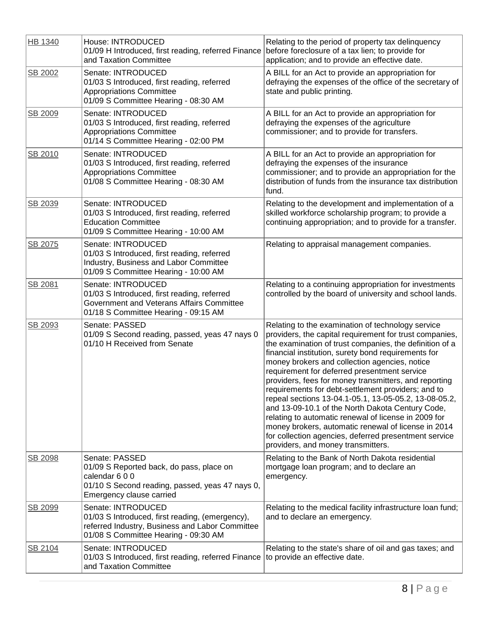| HB 1340 | House: INTRODUCED<br>01/09 H Introduced, first reading, referred Finance<br>and Taxation Committee                                                               | Relating to the period of property tax delinquency<br>before foreclosure of a tax lien; to provide for<br>application; and to provide an effective date.                                                                                                                                                                                                                                                                                                                                                                                                                                                                                                                                                                                                                  |
|---------|------------------------------------------------------------------------------------------------------------------------------------------------------------------|---------------------------------------------------------------------------------------------------------------------------------------------------------------------------------------------------------------------------------------------------------------------------------------------------------------------------------------------------------------------------------------------------------------------------------------------------------------------------------------------------------------------------------------------------------------------------------------------------------------------------------------------------------------------------------------------------------------------------------------------------------------------------|
| SB 2002 | Senate: INTRODUCED<br>01/03 S Introduced, first reading, referred<br><b>Appropriations Committee</b><br>01/09 S Committee Hearing - 08:30 AM                     | A BILL for an Act to provide an appropriation for<br>defraying the expenses of the office of the secretary of<br>state and public printing.                                                                                                                                                                                                                                                                                                                                                                                                                                                                                                                                                                                                                               |
| SB 2009 | Senate: INTRODUCED<br>01/03 S Introduced, first reading, referred<br><b>Appropriations Committee</b><br>01/14 S Committee Hearing - 02:00 PM                     | A BILL for an Act to provide an appropriation for<br>defraying the expenses of the agriculture<br>commissioner; and to provide for transfers.                                                                                                                                                                                                                                                                                                                                                                                                                                                                                                                                                                                                                             |
| SB 2010 | Senate: INTRODUCED<br>01/03 S Introduced, first reading, referred<br><b>Appropriations Committee</b><br>01/08 S Committee Hearing - 08:30 AM                     | A BILL for an Act to provide an appropriation for<br>defraying the expenses of the insurance<br>commissioner; and to provide an appropriation for the<br>distribution of funds from the insurance tax distribution<br>fund.                                                                                                                                                                                                                                                                                                                                                                                                                                                                                                                                               |
| SB 2039 | Senate: INTRODUCED<br>01/03 S Introduced, first reading, referred<br><b>Education Committee</b><br>01/09 S Committee Hearing - 10:00 AM                          | Relating to the development and implementation of a<br>skilled workforce scholarship program; to provide a<br>continuing appropriation; and to provide for a transfer.                                                                                                                                                                                                                                                                                                                                                                                                                                                                                                                                                                                                    |
| SB 2075 | Senate: INTRODUCED<br>01/03 S Introduced, first reading, referred<br>Industry, Business and Labor Committee<br>01/09 S Committee Hearing - 10:00 AM              | Relating to appraisal management companies.                                                                                                                                                                                                                                                                                                                                                                                                                                                                                                                                                                                                                                                                                                                               |
| SB 2081 | Senate: INTRODUCED<br>01/03 S Introduced, first reading, referred<br>Government and Veterans Affairs Committee<br>01/18 S Committee Hearing - 09:15 AM           | Relating to a continuing appropriation for investments<br>controlled by the board of university and school lands.                                                                                                                                                                                                                                                                                                                                                                                                                                                                                                                                                                                                                                                         |
| SB 2093 | Senate: PASSED<br>01/09 S Second reading, passed, yeas 47 nays 0<br>01/10 H Received from Senate                                                                 | Relating to the examination of technology service<br>providers, the capital requirement for trust companies,<br>the examination of trust companies, the definition of a<br>financial institution, surety bond requirements for<br>money brokers and collection agencies, notice<br>requirement for deferred presentment service<br>providers, fees for money transmitters, and reporting<br>requirements for debt-settlement providers; and to<br>repeal sections 13-04.1-05.1, 13-05-05.2, 13-08-05.2,<br>and 13-09-10.1 of the North Dakota Century Code,<br>relating to automatic renewal of license in 2009 for<br>money brokers, automatic renewal of license in 2014<br>for collection agencies, deferred presentment service<br>providers, and money transmitters. |
| SB 2098 | Senate: PASSED<br>01/09 S Reported back, do pass, place on<br>calendar 600<br>01/10 S Second reading, passed, yeas 47 nays 0,<br>Emergency clause carried        | Relating to the Bank of North Dakota residential<br>mortgage loan program; and to declare an<br>emergency.                                                                                                                                                                                                                                                                                                                                                                                                                                                                                                                                                                                                                                                                |
| SB 2099 | Senate: INTRODUCED<br>01/03 S Introduced, first reading, (emergency),<br>referred Industry, Business and Labor Committee<br>01/08 S Committee Hearing - 09:30 AM | Relating to the medical facility infrastructure loan fund;<br>and to declare an emergency.                                                                                                                                                                                                                                                                                                                                                                                                                                                                                                                                                                                                                                                                                |
| SB 2104 | Senate: INTRODUCED<br>01/03 S Introduced, first reading, referred Finance<br>and Taxation Committee                                                              | Relating to the state's share of oil and gas taxes; and<br>to provide an effective date.                                                                                                                                                                                                                                                                                                                                                                                                                                                                                                                                                                                                                                                                                  |